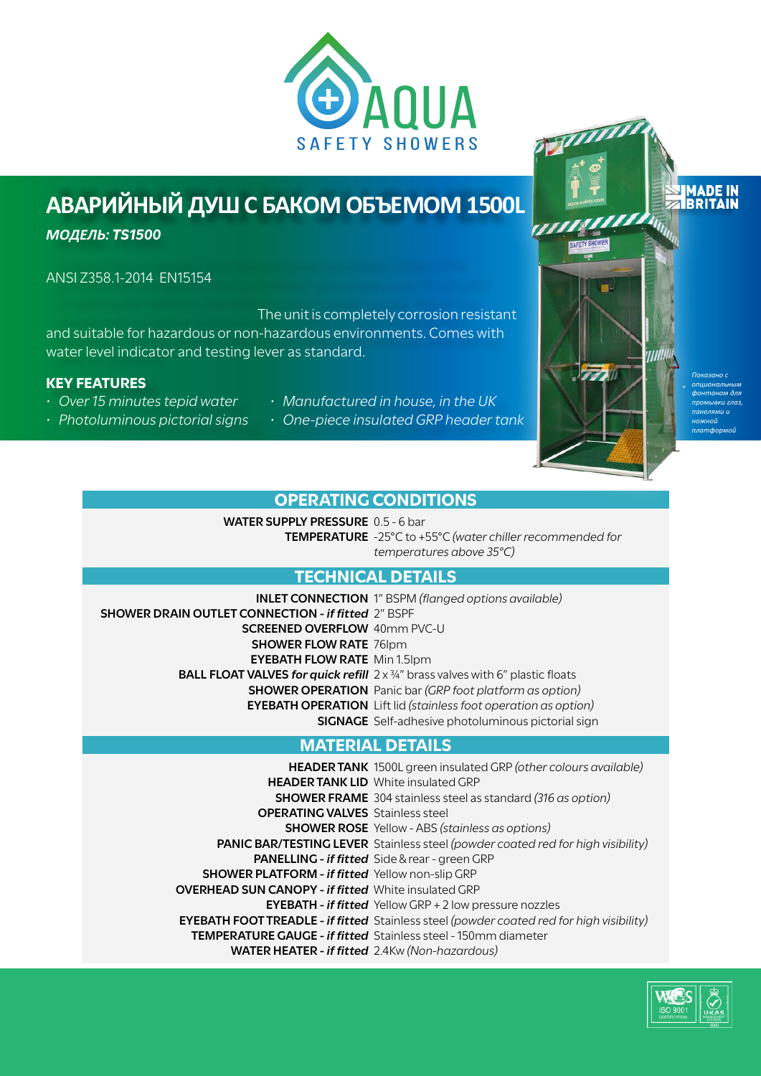

## **АВАРИЙНЫЙ ДУШ С БАКОМ ОБЪЕМОМ 1500L**

*МОДЕЛЬ: TS1500*

ANSI Z358.1-2014 EN15154&&1-,&,1  $&185-8&A$ 6&,&1-&& and suitable for hazardous or non-hazardous environments. Comes with water level indicator and testing lever as standard.

#### **KEY FEATURES**

- *• Over 15 minutes tepid water*
- *• Photoluminous pictorial signs*
- *• Manufactured in house, in the UK*
- *• One-piece insulated GRP header tank*



### **OPERATING CONDITIONS**

**WATER SUPPLY PRESSURE** 0.5 - 6 bar **TEMPERATURE** -25°C to +55°C *(water chiller recommended for temperatures above 35°C)*

## **TECHNICAL DETAILS**

**INLET CONNECTION** 1" BSPM *(flanged options available)* **SHOWER DRAIN OUTLET CONNECTION -** *if fitted* 2" BSPF **SCREENED OVERFLOW** 40mm PVC-U **SHOWER FLOW RATE** 76lpm **EYEBATH FLOW RATE** Min 1.5lpm **BALL FLOAT VALVES for quick refill**  $2 \times \frac{3}{4}$ " brass valves with 6" plastic floats **SHOWER OPERATION** Panic bar *(GRP foot platform as option)* **EYEBATH OPERATION** Lift lid *(stainless foot operation as option)* **SIGNAGE** Self-adhesive photoluminous pictorial sign

### **MATERIAL DETAILS**

**HEADER TANK** 1500L green insulated GRP *(other colours available)* **HEADER TANK LID** White insulated GRP **SHOWER FRAME** 304 stainless steel as standard *(316 as option)* **OPERATING VALVES** Stainless steel **SHOWER ROSE** Yellow - ABS *(stainless as options)* **PANIC BAR/TESTING LEVER** Stainless steel *(powder coated red for high visibility)* **PANELLING -** *if fitted* Side & rear - green GRP **SHOWER PLATFORM -** *if fitted* Yellow non-slip GRP **OVERHEAD SUN CANOPY -** *if fitted* White insulated GRP **EYEBATH -** *if fitted* Yellow GRP + 2 low pressure nozzles **EYEBATH FOOT TREADLE -** *if fitted* Stainless steel *(powder coated red for high visibility)* **TEMPERATURE GAUGE -** *if fitted* Stainless steel - 150mm diameter **WATER HEATER -** *if fitted* 2.4Kw *(Non-hazardous)*